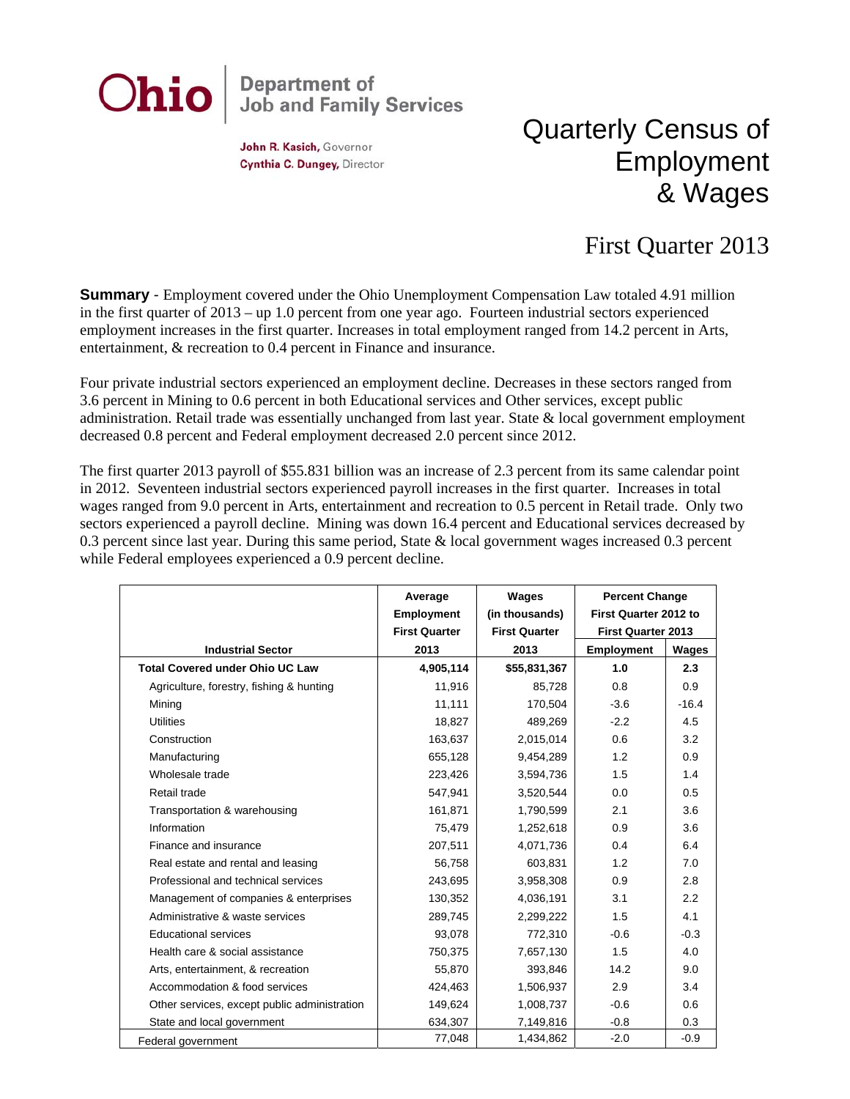

John R. Kasich, Governor Cynthia C. Dungey, Director

## Quarterly Census of Employment & Wages

## First Quarter 2013

**Summary** - Employment covered under the Ohio Unemployment Compensation Law totaled 4.91 million in the first quarter of 2013 – up 1.0 percent from one year ago. Fourteen industrial sectors experienced employment increases in the first quarter. Increases in total employment ranged from 14.2 percent in Arts, entertainment, & recreation to 0.4 percent in Finance and insurance.

Four private industrial sectors experienced an employment decline. Decreases in these sectors ranged from 3.6 percent in Mining to 0.6 percent in both Educational services and Other services, except public administration. Retail trade was essentially unchanged from last year. State & local government employment decreased 0.8 percent and Federal employment decreased 2.0 percent since 2012.

The first quarter 2013 payroll of \$55.831 billion was an increase of 2.3 percent from its same calendar point in 2012. Seventeen industrial sectors experienced payroll increases in the first quarter. Increases in total wages ranged from 9.0 percent in Arts, entertainment and recreation to 0.5 percent in Retail trade. Only two sectors experienced a payroll decline. Mining was down 16.4 percent and Educational services decreased by 0.3 percent since last year. During this same period, State & local government wages increased 0.3 percent while Federal employees experienced a 0.9 percent decline.

|                                              | Average<br><b>Employment</b> | Wages<br>(in thousands) | <b>Percent Change</b><br>First Quarter 2012 to<br><b>First Quarter 2013</b> |         |
|----------------------------------------------|------------------------------|-------------------------|-----------------------------------------------------------------------------|---------|
|                                              | <b>First Quarter</b>         | <b>First Quarter</b>    |                                                                             |         |
| <b>Industrial Sector</b>                     | 2013                         | 2013                    | <b>Employment</b>                                                           | Wages   |
| <b>Total Covered under Ohio UC Law</b>       | 4,905,114                    | \$55,831,367            | 1.0                                                                         | 2.3     |
| Agriculture, forestry, fishing & hunting     | 11.916                       | 85,728                  | 0.8                                                                         | 0.9     |
| Mining                                       | 11,111                       | 170,504                 | $-3.6$                                                                      | $-16.4$ |
| <b>Utilities</b>                             | 18,827                       | 489,269                 | $-2.2$                                                                      | 4.5     |
| Construction                                 | 163,637                      | 2,015,014               | 0.6                                                                         | 3.2     |
| Manufacturing                                | 655,128                      | 9,454,289               | 1.2                                                                         | 0.9     |
| Wholesale trade                              | 223,426                      | 3,594,736               | 1.5                                                                         | 1.4     |
| Retail trade                                 | 547,941                      | 3,520,544               | 0.0                                                                         | 0.5     |
| Transportation & warehousing                 | 161,871                      | 1,790,599               | 2.1                                                                         | 3.6     |
| Information                                  | 75,479                       | 1,252,618               | 0.9                                                                         | 3.6     |
| Finance and insurance                        | 207,511                      | 4,071,736               | 0.4                                                                         | 6.4     |
| Real estate and rental and leasing           | 56,758                       | 603.831                 | 1.2                                                                         | 7.0     |
| Professional and technical services          | 243,695                      | 3,958,308               | 0.9                                                                         | 2.8     |
| Management of companies & enterprises        | 130,352                      | 4,036,191               | 3.1                                                                         | 2.2     |
| Administrative & waste services              | 289,745                      | 2,299,222               | 1.5                                                                         | 4.1     |
| <b>Educational services</b>                  | 93,078                       | 772,310                 | $-0.6$                                                                      | $-0.3$  |
| Health care & social assistance              | 750,375                      | 7,657,130               | 1.5                                                                         | 4.0     |
| Arts, entertainment, & recreation            | 55,870                       | 393,846                 | 14.2                                                                        | 9.0     |
| Accommodation & food services                | 424,463                      | 1,506,937               | 2.9                                                                         | 3.4     |
| Other services, except public administration | 149,624                      | 1,008,737               | $-0.6$                                                                      | 0.6     |
| State and local government                   | 634,307                      | 7,149,816               | $-0.8$                                                                      | 0.3     |
| Federal government                           | 77,048                       | 1,434,862               | $-2.0$                                                                      | $-0.9$  |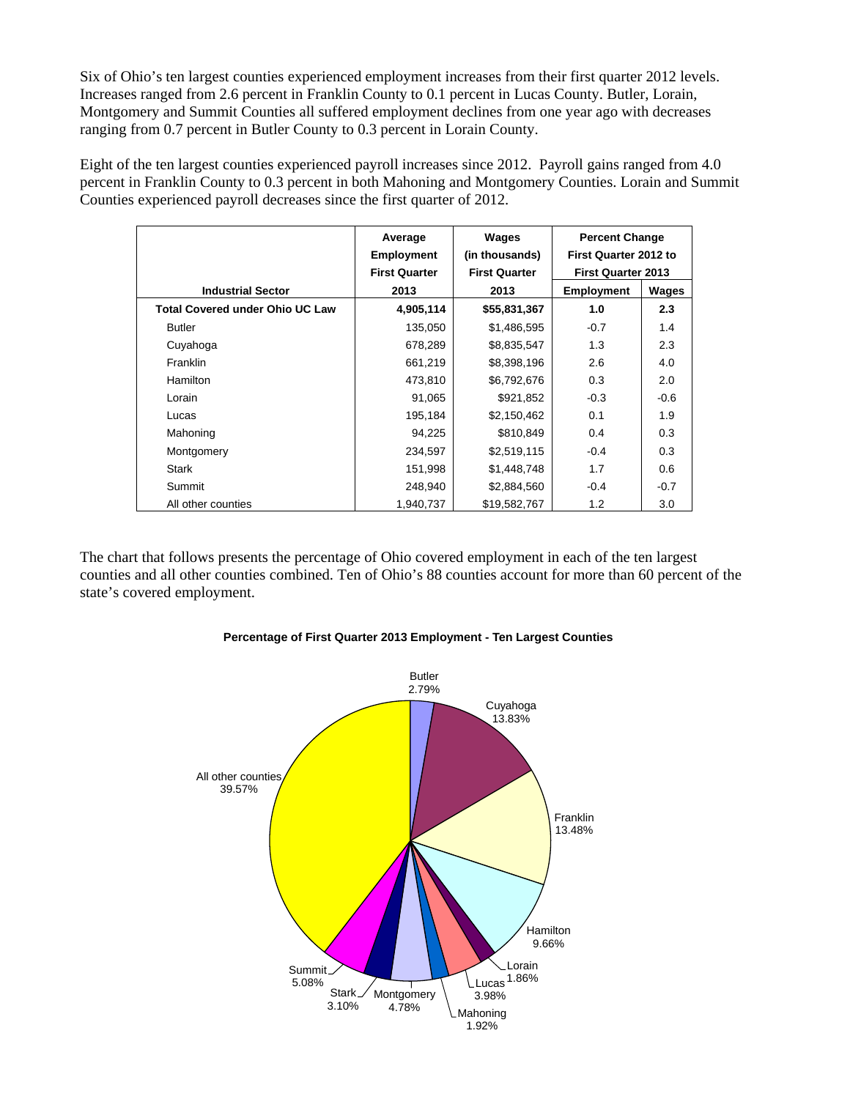Six of Ohio's ten largest counties experienced employment increases from their first quarter 2012 levels. Increases ranged from 2.6 percent in Franklin County to 0.1 percent in Lucas County. Butler, Lorain, Montgomery and Summit Counties all suffered employment declines from one year ago with decreases ranging from 0.7 percent in Butler County to 0.3 percent in Lorain County.

Eight of the ten largest counties experienced payroll increases since 2012. Payroll gains ranged from 4.0 percent in Franklin County to 0.3 percent in both Mahoning and Montgomery Counties. Lorain and Summit Counties experienced payroll decreases since the first quarter of 2012.

|                                        | Average              | Wages                | <b>Percent Change</b>     |        |
|----------------------------------------|----------------------|----------------------|---------------------------|--------|
|                                        | <b>Employment</b>    | (in thousands)       | First Quarter 2012 to     |        |
|                                        | <b>First Quarter</b> | <b>First Quarter</b> | <b>First Quarter 2013</b> |        |
| <b>Industrial Sector</b>               | 2013                 | 2013                 | <b>Employment</b>         | Wages  |
| <b>Total Covered under Ohio UC Law</b> | 4,905,114            | \$55,831,367         | 1.0                       | 2.3    |
| <b>Butler</b>                          | 135,050              | \$1,486,595          | $-0.7$                    | 1.4    |
| Cuyahoga                               | 678,289              | \$8,835,547          | 1.3                       | 2.3    |
| Franklin                               | 661,219              | \$8,398,196          | 2.6                       | 4.0    |
| <b>Hamilton</b>                        | 473,810              | \$6,792,676          | 0.3                       | 2.0    |
| Lorain                                 | 91,065               | \$921,852            | $-0.3$                    | $-0.6$ |
| Lucas                                  | 195,184              | \$2,150,462          | 0.1                       | 1.9    |
| Mahoning                               | 94,225               | \$810,849            | 0.4                       | 0.3    |
| Montgomery                             | 234,597              | \$2,519,115          | $-0.4$                    | 0.3    |
| <b>Stark</b>                           | 151,998              | \$1,448,748          | 1.7                       | 0.6    |
| Summit                                 | 248.940              | \$2,884,560          | $-0.4$                    | $-0.7$ |
| All other counties                     | 1,940,737            | \$19,582,767         | 1.2                       | 3.0    |

The chart that follows presents the percentage of Ohio covered employment in each of the ten largest counties and all other counties combined. Ten of Ohio's 88 counties account for more than 60 percent of the state's covered employment.



## **Percentage of First Quarter 2013 Employment - Ten Largest Counties**